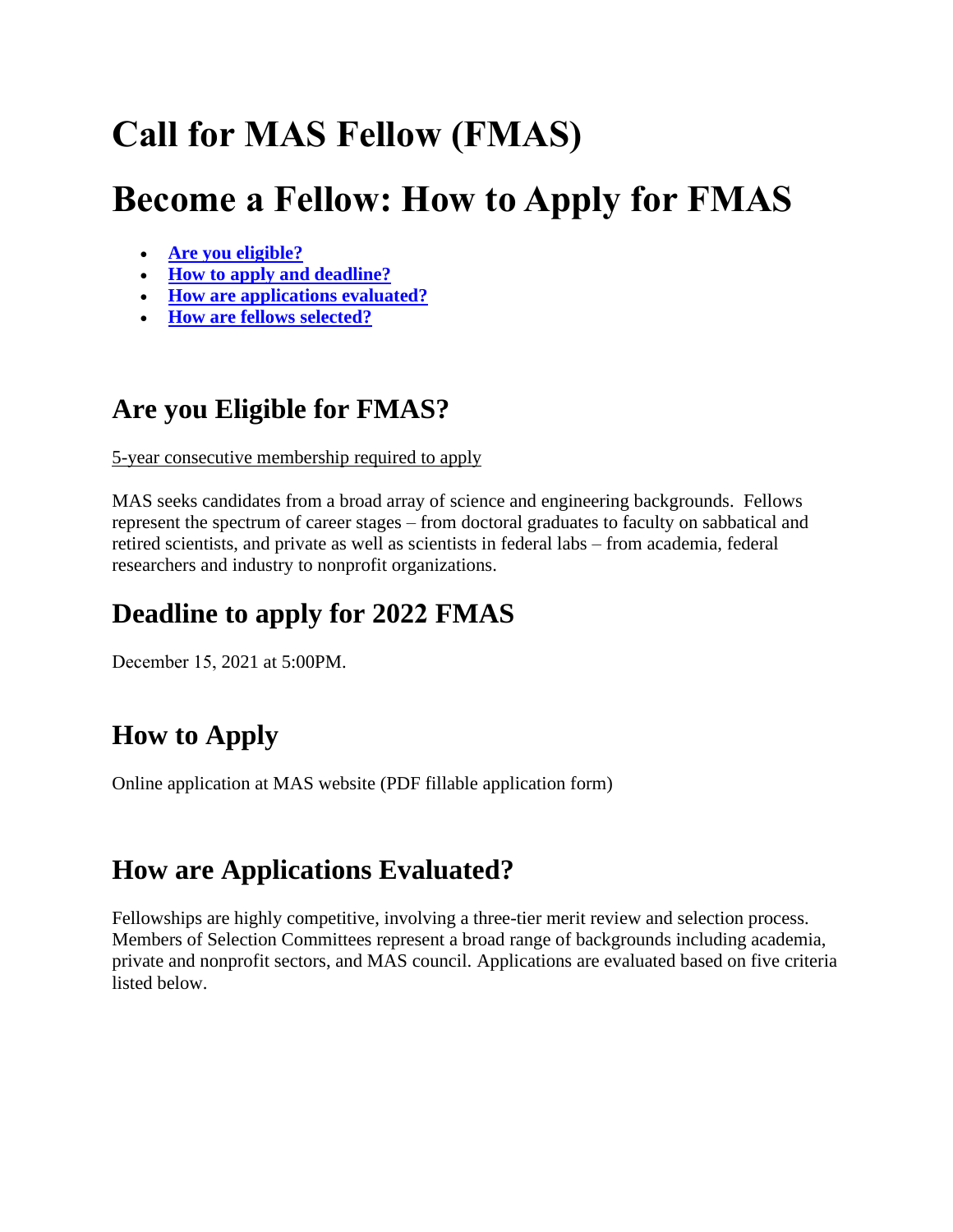# **Call for MAS Fellow (FMAS)**

# **Become a Fellow: How to Apply for FMAS**

- **[Are you eligible?](https://www.aaas.org/programs/science-technology-policy-fellowships/become-fellow-application#eligible)**
- **[How to apply](https://www.aaas.org/programs/science-technology-policy-fellowships/become-fellow-application#howapply) and deadline?**
- **[How are applications evaluated?](https://www.aaas.org/programs/science-technology-policy-fellowships/become-fellow-application#evaluated)**
- **[How are fellows selected?](https://www.aaas.org/programs/science-technology-policy-fellowships/become-fellow-application#placed)**

## **Are you Eligible for FMAS?**

5-year consecutive membership required to apply

MAS seeks candidates from a broad array of science and engineering backgrounds. Fellows represent the spectrum of career stages – from doctoral graduates to faculty on sabbatical and retired scientists, and private as well as scientists in federal labs – from academia, federal researchers and industry to nonprofit organizations.

# **Deadline to apply for 2022 FMAS**

December 15, 2021 at 5:00PM.

# **How to Apply**

Online application at MAS website (PDF fillable application form)

## **How are Applications Evaluated?**

Fellowships are highly competitive, involving a three-tier merit review and selection process. Members of Selection Committees represent a broad range of backgrounds including academia, private and nonprofit sectors, and MAS council. Applications are evaluated based on five criteria listed below.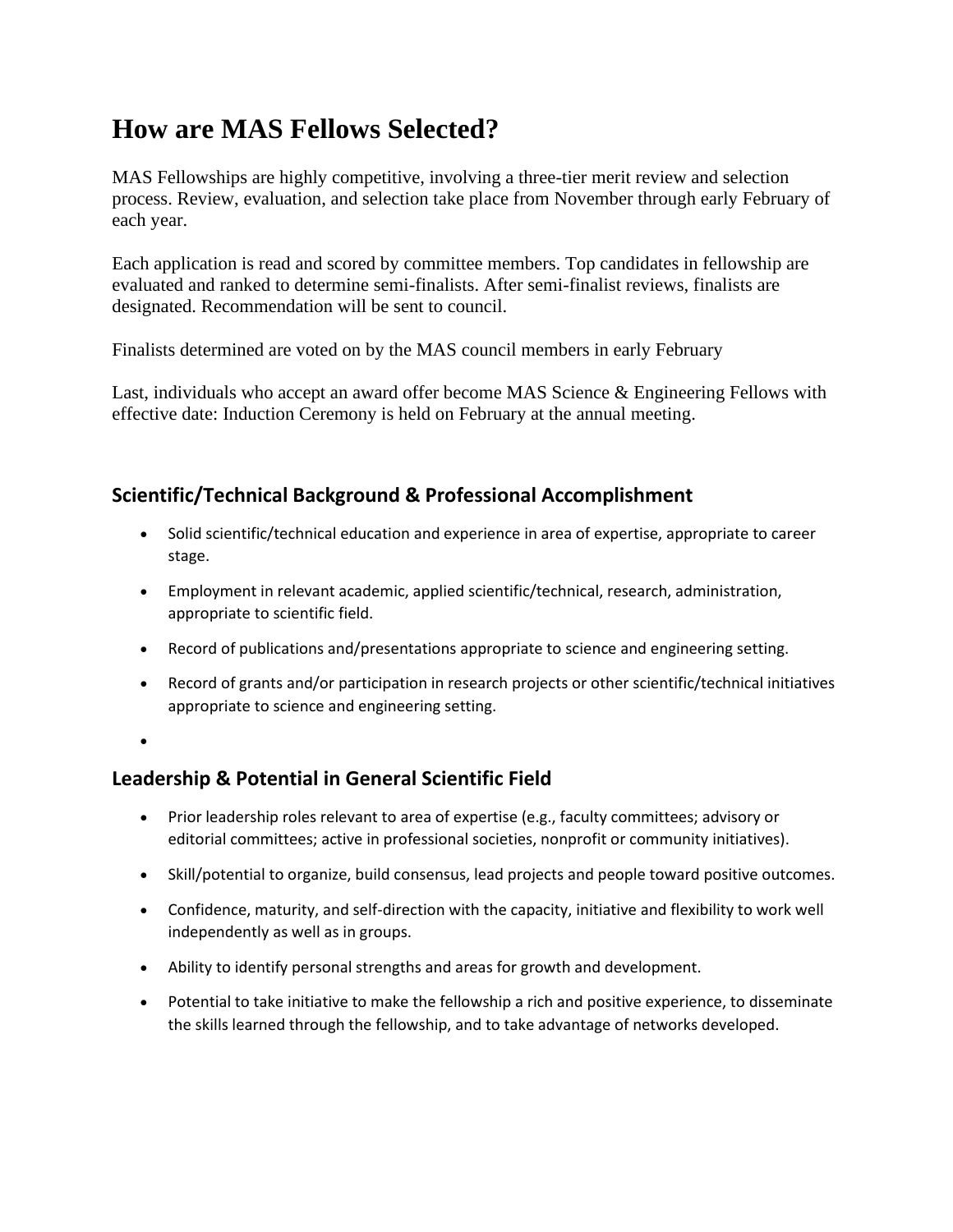## **How are MAS Fellows Selected?**

MAS Fellowships are highly competitive, involving a three-tier merit review and selection process. Review, evaluation, and selection take place from November through early February of each year.

Each application is read and scored by committee members. Top candidates in fellowship are evaluated and ranked to determine semi-finalists. After semi-finalist reviews, finalists are designated. Recommendation will be sent to council.

Finalists determined are voted on by the MAS council members in early February

Last, individuals who accept an award offer become MAS Science & Engineering Fellows with effective date: Induction Ceremony is held on February at the annual meeting.

### **Scientific/Technical Background & Professional Accomplishment**

- Solid scientific/technical education and experience in area of expertise, appropriate to career stage.
- Employment in relevant academic, applied scientific/technical, research, administration, appropriate to scientific field.
- Record of publications and/presentations appropriate to science and engineering setting.
- Record of grants and/or participation in research projects or other scientific/technical initiatives appropriate to science and engineering setting.
- •

### **Leadership & Potential in General Scientific Field**

- Prior leadership roles relevant to area of expertise (e.g., faculty committees; advisory or editorial committees; active in professional societies, nonprofit or community initiatives).
- Skill/potential to organize, build consensus, lead projects and people toward positive outcomes.
- Confidence, maturity, and self-direction with the capacity, initiative and flexibility to work well independently as well as in groups.
- Ability to identify personal strengths and areas for growth and development.
- Potential to take initiative to make the fellowship a rich and positive experience, to disseminate the skills learned through the fellowship, and to take advantage of networks developed.